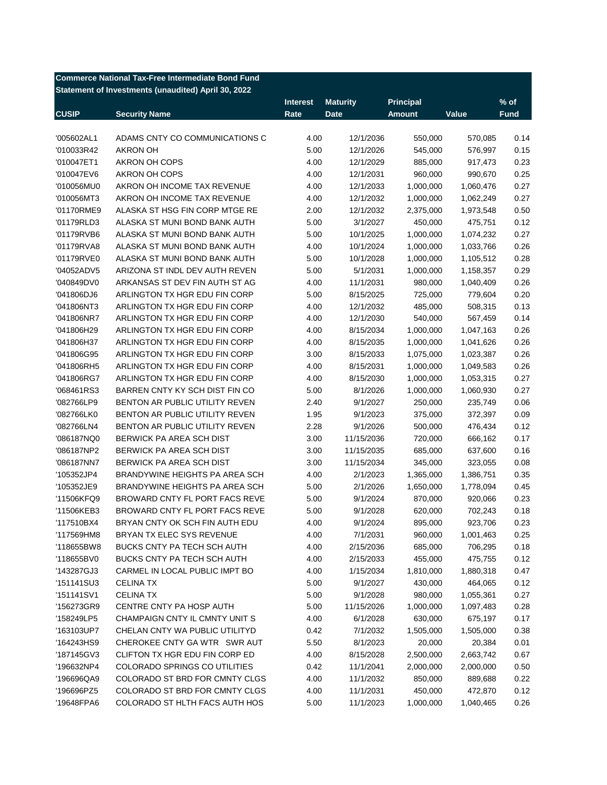| <b>Commerce National Tax-Free Intermediate Bond Fund</b> |                                                     |                 |                 |                  |           |             |  |  |
|----------------------------------------------------------|-----------------------------------------------------|-----------------|-----------------|------------------|-----------|-------------|--|--|
|                                                          | Statement of Investments (unaudited) April 30, 2022 |                 |                 |                  |           |             |  |  |
|                                                          |                                                     | <b>Interest</b> | <b>Maturity</b> | <b>Principal</b> |           | $%$ of      |  |  |
| <b>CUSIP</b>                                             | <b>Security Name</b>                                | Rate            | <b>Date</b>     | Amount           | Value     | <b>Fund</b> |  |  |
|                                                          |                                                     |                 |                 |                  |           |             |  |  |
| '005602AL1                                               | ADAMS CNTY CO COMMUNICATIONS C                      | 4.00            | 12/1/2036       | 550,000          | 570,085   | 0.14        |  |  |
| '010033R42                                               | AKRON OH                                            | 5.00            | 12/1/2026       | 545,000          | 576,997   | 0.15        |  |  |
| '010047ET1                                               | AKRON OH COPS                                       | 4.00            | 12/1/2029       | 885,000          | 917,473   | 0.23        |  |  |
| '010047EV6                                               | AKRON OH COPS                                       | 4.00            | 12/1/2031       | 960,000          | 990,670   | 0.25        |  |  |
| '010056MU0                                               | AKRON OH INCOME TAX REVENUE                         | 4.00            | 12/1/2033       | 1,000,000        | 1,060,476 | 0.27        |  |  |
| '010056MT3                                               | AKRON OH INCOME TAX REVENUE                         | 4.00            | 12/1/2032       | 1,000,000        | 1,062,249 | 0.27        |  |  |
| '01170RME9                                               | ALASKA ST HSG FIN CORP MTGE RE                      | 2.00            | 12/1/2032       | 2,375,000        | 1,973,548 | 0.50        |  |  |
| '01179RLD3                                               | ALASKA ST MUNI BOND BANK AUTH                       | 5.00            | 3/1/2027        | 450,000          | 475,751   | 0.12        |  |  |
| '01179RVB6                                               | ALASKA ST MUNI BOND BANK AUTH                       | 5.00            | 10/1/2025       | 1,000,000        | 1,074,232 | 0.27        |  |  |
| '01179RVA8                                               | ALASKA ST MUNI BOND BANK AUTH                       | 4.00            | 10/1/2024       | 1,000,000        | 1,033,766 | 0.26        |  |  |
| '01179RVE0                                               | ALASKA ST MUNI BOND BANK AUTH                       | 5.00            | 10/1/2028       | 1,000,000        | 1,105,512 | 0.28        |  |  |
| '04052ADV5                                               | ARIZONA ST INDL DEV AUTH REVEN                      | 5.00            | 5/1/2031        | 1,000,000        | 1,158,357 | 0.29        |  |  |
| '040849DV0                                               | ARKANSAS ST DEV FIN AUTH ST AG                      | 4.00            | 11/1/2031       | 980,000          | 1,040,409 | 0.26        |  |  |
| '041806DJ6                                               | ARLINGTON TX HGR EDU FIN CORP                       | 5.00            | 8/15/2025       | 725,000          | 779,604   | 0.20        |  |  |
| '041806NT3                                               | ARLINGTON TX HGR EDU FIN CORP                       | 4.00            | 12/1/2032       | 485,000          | 508,315   | 0.13        |  |  |
| '041806NR7                                               | ARLINGTON TX HGR EDU FIN CORP                       | 4.00            | 12/1/2030       | 540,000          | 567,459   | 0.14        |  |  |
| '041806H29                                               | ARLINGTON TX HGR EDU FIN CORP                       | 4.00            | 8/15/2034       | 1,000,000        | 1,047,163 | 0.26        |  |  |
| '041806H37                                               | ARLINGTON TX HGR EDU FIN CORP                       | 4.00            | 8/15/2035       | 1,000,000        | 1,041,626 | 0.26        |  |  |
| '041806G95                                               | ARLINGTON TX HGR EDU FIN CORP                       | 3.00            | 8/15/2033       | 1,075,000        | 1,023,387 | 0.26        |  |  |
| '041806RH5                                               | ARLINGTON TX HGR EDU FIN CORP                       | 4.00            | 8/15/2031       | 1,000,000        | 1,049,583 | 0.26        |  |  |
| '041806RG7                                               | ARLINGTON TX HGR EDU FIN CORP                       | 4.00            | 8/15/2030       | 1,000,000        | 1,053,315 | 0.27        |  |  |
| '068461RS3                                               | BARREN CNTY KY SCH DIST FIN CO                      | 5.00            | 8/1/2026        | 1,000,000        | 1,060,930 | 0.27        |  |  |
| '082766LP9                                               | BENTON AR PUBLIC UTILITY REVEN                      | 2.40            | 9/1/2027        | 250,000          | 235,749   | 0.06        |  |  |
| '082766LK0                                               | BENTON AR PUBLIC UTILITY REVEN                      | 1.95            | 9/1/2023        | 375,000          | 372,397   | 0.09        |  |  |
| '082766LN4                                               | BENTON AR PUBLIC UTILITY REVEN                      | 2.28            | 9/1/2026        | 500,000          | 476,434   | 0.12        |  |  |
| '086187NQ0                                               | BERWICK PA AREA SCH DIST                            | 3.00            | 11/15/2036      | 720,000          | 666,162   | 0.17        |  |  |
| '086187NP2                                               | BERWICK PA AREA SCH DIST                            | 3.00            | 11/15/2035      | 685,000          | 637,600   | 0.16        |  |  |
| '086187NN7                                               | BERWICK PA AREA SCH DIST                            | 3.00            | 11/15/2034      | 345,000          | 323,055   | 0.08        |  |  |
| '105352JP4                                               | BRANDYWINE HEIGHTS PA AREA SCH                      | 4.00            | 2/1/2023        | 1,365,000        | 1,386,751 | 0.35        |  |  |
| '105352JE9                                               | BRANDYWINE HEIGHTS PA AREA SCH                      | 5.00            | 2/1/2026        | 1,650,000        | 1,778,094 | 0.45        |  |  |
| '11506KFQ9                                               | BROWARD CNTY FL PORT FACS REVE                      | 5.00            | 9/1/2024        | 870,000          | 920,066   | 0.23        |  |  |
| '11506KEB3                                               | BROWARD CNTY FL PORT FACS REVE                      | 5.00            | 9/1/2028        | 620,000          | 702,243   | 0.18        |  |  |
| '117510BX4                                               | BRYAN CNTY OK SCH FIN AUTH EDU                      | 4.00            | 9/1/2024        | 895,000          | 923,706   | 0.23        |  |  |
| '117569HM8                                               | BRYAN TX ELEC SYS REVENUE                           | 4.00            | 7/1/2031        | 960,000          | 1,001,463 | 0.25        |  |  |
| '118655BW8                                               | <b>BUCKS CNTY PA TECH SCH AUTH</b>                  | 4.00            | 2/15/2036       | 685,000          | 706,295   | 0.18        |  |  |
| '118655BV0                                               | <b>BUCKS CNTY PA TECH SCH AUTH</b>                  | 4.00            | 2/15/2033       | 455,000          | 475,755   | 0.12        |  |  |
| '143287GJ3                                               | CARMEL IN LOCAL PUBLIC IMPT BO                      | 4.00            | 1/15/2034       | 1,810,000        | 1,880,318 | 0.47        |  |  |
| '151141SU3                                               | <b>CELINA TX</b>                                    | 5.00            | 9/1/2027        | 430,000          | 464,065   | 0.12        |  |  |
| '151141SV1                                               | <b>CELINA TX</b>                                    | 5.00            | 9/1/2028        | 980,000          | 1,055,361 | 0.27        |  |  |
| '156273GR9                                               | CENTRE CNTY PA HOSP AUTH                            | 5.00            | 11/15/2026      | 1,000,000        | 1,097,483 | 0.28        |  |  |
| '158249LP5                                               | CHAMPAIGN CNTY IL CMNTY UNIT S                      | 4.00            | 6/1/2028        | 630,000          | 675,197   | 0.17        |  |  |
| '163103UP7                                               | CHELAN CNTY WA PUBLIC UTILITYD                      | 0.42            | 7/1/2032        | 1,505,000        | 1,505,000 | 0.38        |  |  |
| '164243HS9                                               | CHEROKEE CNTY GA WTR SWR AUT                        | 5.50            | 8/1/2023        | 20,000           | 20,384    | 0.01        |  |  |
| '187145GV3                                               | CLIFTON TX HGR EDU FIN CORP ED                      | 4.00            | 8/15/2028       | 2,500,000        | 2,663,742 | 0.67        |  |  |
| '196632NP4                                               | COLORADO SPRINGS CO UTILITIES                       | 0.42            | 11/1/2041       | 2,000,000        | 2,000,000 | 0.50        |  |  |
| '196696QA9                                               | COLORADO ST BRD FOR CMNTY CLGS                      | 4.00            | 11/1/2032       | 850,000          | 889,688   | 0.22        |  |  |
| '196696PZ5                                               | COLORADO ST BRD FOR CMNTY CLGS                      | 4.00            | 11/1/2031       | 450,000          | 472,870   | 0.12        |  |  |
| '19648FPA6                                               | COLORADO ST HLTH FACS AUTH HOS                      | 5.00            | 11/1/2023       | 1,000,000        | 1,040,465 | 0.26        |  |  |
|                                                          |                                                     |                 |                 |                  |           |             |  |  |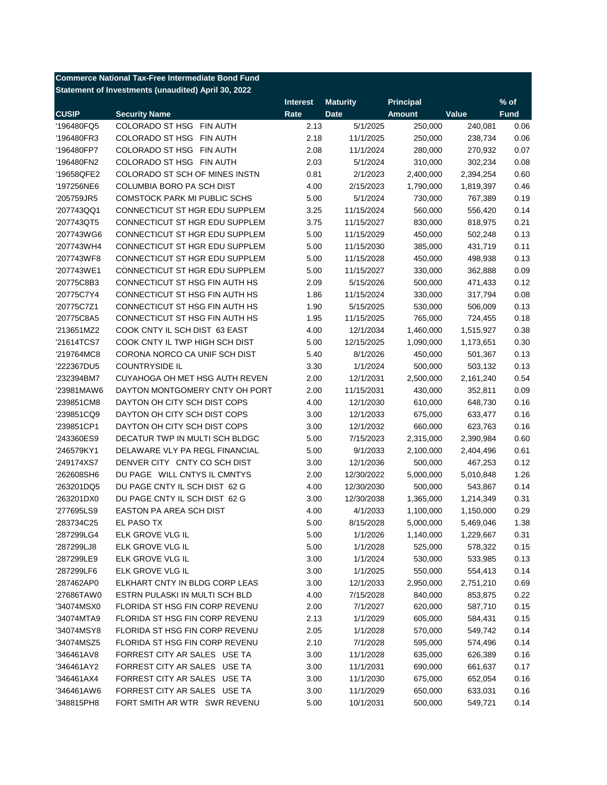| <b>Commerce National Tax-Free Intermediate Bond Fund</b> |                                                     |                 |                 |                  |           |             |  |
|----------------------------------------------------------|-----------------------------------------------------|-----------------|-----------------|------------------|-----------|-------------|--|
|                                                          | Statement of Investments (unaudited) April 30, 2022 |                 |                 |                  |           |             |  |
|                                                          |                                                     | <b>Interest</b> | <b>Maturity</b> | <b>Principal</b> |           | $%$ of      |  |
| <b>CUSIP</b>                                             | <b>Security Name</b>                                | Rate            | <b>Date</b>     | <b>Amount</b>    | Value     | <b>Fund</b> |  |
| '196480FQ5                                               | COLORADO ST HSG FIN AUTH                            | 2.13            | 5/1/2025        | 250,000          | 240,081   | 0.06        |  |
| '196480FR3                                               | COLORADO ST HSG FIN AUTH                            | 2.18            | 11/1/2025       | 250,000          | 238,734   | 0.06        |  |
| '196480FP7                                               | COLORADO ST HSG FIN AUTH                            | 2.08            | 11/1/2024       | 280,000          | 270,932   | 0.07        |  |
| '196480FN2                                               | COLORADO ST HSG FIN AUTH                            | 2.03            | 5/1/2024        | 310,000          | 302,234   | 0.08        |  |
| '19658QFE2                                               | COLORADO ST SCH OF MINES INSTN                      | 0.81            | 2/1/2023        | 2,400,000        | 2,394,254 | 0.60        |  |
| '197256NE6                                               | COLUMBIA BORO PA SCH DIST                           | 4.00            | 2/15/2023       | 1,790,000        | 1,819,397 | 0.46        |  |
| '205759JR5                                               | <b>COMSTOCK PARK MI PUBLIC SCHS</b>                 | 5.00            | 5/1/2024        | 730,000          | 767,389   | 0.19        |  |
| '207743QQ1                                               | CONNECTICUT ST HGR EDU SUPPLEM                      | 3.25            | 11/15/2024      | 560,000          | 556,420   | 0.14        |  |
| '207743QT5                                               | CONNECTICUT ST HGR EDU SUPPLEM                      | 3.75            | 11/15/2027      | 830,000          | 818,975   | 0.21        |  |
| '207743WG6                                               | CONNECTICUT ST HGR EDU SUPPLEM                      | 5.00            | 11/15/2029      | 450,000          | 502,248   | 0.13        |  |
| '207743WH4                                               | CONNECTICUT ST HGR EDU SUPPLEM                      | 5.00            | 11/15/2030      | 385,000          | 431,719   | 0.11        |  |
| '207743WF8                                               | CONNECTICUT ST HGR EDU SUPPLEM                      | 5.00            | 11/15/2028      | 450,000          | 498,938   | 0.13        |  |
| '207743WE1                                               | CONNECTICUT ST HGR EDU SUPPLEM                      | 5.00            | 11/15/2027      | 330,000          | 362,888   | 0.09        |  |
| '20775C8B3                                               | CONNECTICUT ST HSG FIN AUTH HS                      | 2.09            | 5/15/2026       | 500,000          | 471,433   | 0.12        |  |
| '20775C7Y4                                               | CONNECTICUT ST HSG FIN AUTH HS                      | 1.86            | 11/15/2024      | 330,000          | 317,794   | 0.08        |  |
| '20775C7Z1                                               | CONNECTICUT ST HSG FIN AUTH HS                      | 1.90            | 5/15/2025       | 530,000          | 506,009   | 0.13        |  |
| '20775C8A5                                               | CONNECTICUT ST HSG FIN AUTH HS                      | 1.95            | 11/15/2025      | 765,000          | 724,455   | 0.18        |  |
| '213651MZ2                                               | COOK CNTY IL SCH DIST 63 EAST                       | 4.00            | 12/1/2034       | 1,460,000        | 1,515,927 | 0.38        |  |
| '21614TCS7                                               | COOK CNTY IL TWP HIGH SCH DIST                      | 5.00            | 12/15/2025      | 1,090,000        | 1,173,651 | 0.30        |  |
| '219764MC8                                               | CORONA NORCO CA UNIF SCH DIST                       | 5.40            | 8/1/2026        | 450,000          | 501,367   | 0.13        |  |
| '222367DU5                                               | <b>COUNTRYSIDE IL</b>                               | 3.30            | 1/1/2024        | 500,000          | 503,132   | 0.13        |  |
| '232394BM7                                               | CUYAHOGA OH MET HSG AUTH REVEN                      | 2.00            | 12/1/2031       | 2,500,000        | 2,161,240 | 0.54        |  |
| '23981MAW6                                               | DAYTON MONTGOMERY CNTY OH PORT                      | 2.00            | 11/15/2031      | 430,000          | 352,811   | 0.09        |  |
| '239851CM8                                               | DAYTON OH CITY SCH DIST COPS                        | 4.00            | 12/1/2030       | 610,000          | 648,730   | 0.16        |  |
| '239851CQ9                                               | DAYTON OH CITY SCH DIST COPS                        | 3.00            | 12/1/2033       | 675,000          | 633,477   | 0.16        |  |
| '239851CP1                                               | DAYTON OH CITY SCH DIST COPS                        | 3.00            | 12/1/2032       | 660,000          | 623,763   | 0.16        |  |
| '243360ES9                                               | DECATUR TWP IN MULTI SCH BLDGC                      | 5.00            | 7/15/2023       | 2,315,000        | 2,390,984 | 0.60        |  |
| '246579KY1                                               | DELAWARE VLY PA REGL FINANCIAL                      | 5.00            | 9/1/2033        | 2,100,000        | 2,404,496 | 0.61        |  |
| '249174XS7                                               | DENVER CITY CNTY CO SCH DIST                        | 3.00            | 12/1/2036       | 500,000          | 467,253   | 0.12        |  |
| '262608SH6                                               | DU PAGE WILL CNTYS IL CMNTYS                        | 2.00            | 12/30/2022      | 5,000,000        | 5,010,848 | 1.26        |  |
| '263201DQ5                                               | DU PAGE CNTY IL SCH DIST 62 G                       | 4.00            | 12/30/2030      | 500,000          | 543,867   | 0.14        |  |
| '263201DX0                                               | DU PAGE CNTY IL SCH DIST 62 G                       | 3.00            | 12/30/2038      | 1,365,000        | 1,214,349 | 0.31        |  |
| '277695LS9                                               | EASTON PA AREA SCH DIST                             | 4.00            | 4/1/2033        | 1,100,000        | 1,150,000 | 0.29        |  |
| '283734C25                                               | EL PASO TX                                          | 5.00            | 8/15/2028       | 5,000,000        | 5,469,046 | 1.38        |  |
| '287299LG4                                               | ELK GROVE VLG IL                                    | 5.00            | 1/1/2026        | 1,140,000        | 1,229,667 | 0.31        |  |
| '287299LJ8                                               | ELK GROVE VLG IL                                    | 5.00            | 1/1/2028        | 525,000          | 578,322   | 0.15        |  |
| '287299LE9                                               | ELK GROVE VLG IL                                    | 3.00            | 1/1/2024        | 530,000          | 533,985   | 0.13        |  |
| '287299LF6                                               | ELK GROVE VLG IL                                    | 3.00            | 1/1/2025        | 550,000          | 554,413   | 0.14        |  |
| '287462AP0                                               | ELKHART CNTY IN BLDG CORP LEAS                      | 3.00            | 12/1/2033       | 2,950,000        | 2,751,210 | 0.69        |  |
| '27686TAW0                                               | ESTRN PULASKI IN MULTI SCH BLD                      |                 |                 |                  |           |             |  |
|                                                          | FLORIDA ST HSG FIN CORP REVENU                      | 4.00            | 7/15/2028       | 840,000          | 853,875   | 0.22        |  |
| '34074MSX0                                               |                                                     | 2.00            | 7/1/2027        | 620,000          | 587,710   | 0.15        |  |
| '34074MTA9                                               | FLORIDA ST HSG FIN CORP REVENU                      | 2.13            | 1/1/2029        | 605,000          | 584,431   | 0.15        |  |
| '34074MSY8                                               | FLORIDA ST HSG FIN CORP REVENU                      | 2.05            | 1/1/2028        | 570,000          | 549,742   | 0.14        |  |
| '34074MSZ5                                               | FLORIDA ST HSG FIN CORP REVENU                      | 2.10            | 7/1/2028        | 595,000          | 574,496   | 0.14        |  |
| '346461AV8                                               | FORREST CITY AR SALES USE TA                        | 3.00            | 11/1/2028       | 635,000          | 626,389   | 0.16        |  |
| '346461AY2                                               | FORREST CITY AR SALES USE TA                        | 3.00            | 11/1/2031       | 690,000          | 661,637   | 0.17        |  |
| '346461AX4                                               | FORREST CITY AR SALES USE TA                        | 3.00            | 11/1/2030       | 675,000          | 652,054   | 0.16        |  |
| '346461AW6                                               | FORREST CITY AR SALES USE TA                        | 3.00            | 11/1/2029       | 650,000          | 633,031   | 0.16        |  |
| '348815PH8                                               | FORT SMITH AR WTR SWR REVENU                        | 5.00            | 10/1/2031       | 500,000          | 549,721   | 0.14        |  |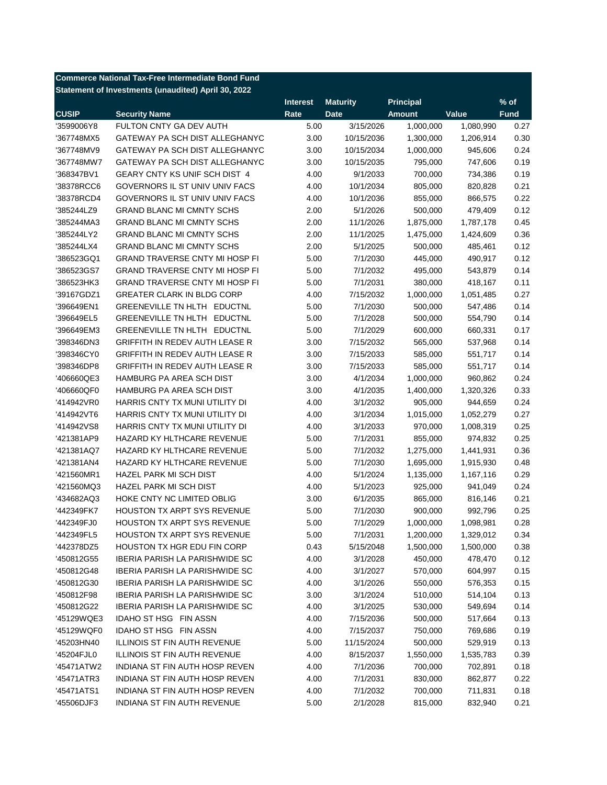| <b>Commerce National Tax-Free Intermediate Bond Fund</b> |                                                     |                 |                 |                  |                    |             |  |  |
|----------------------------------------------------------|-----------------------------------------------------|-----------------|-----------------|------------------|--------------------|-------------|--|--|
|                                                          | Statement of Investments (unaudited) April 30, 2022 |                 |                 |                  |                    |             |  |  |
|                                                          |                                                     | <b>Interest</b> | <b>Maturity</b> | <b>Principal</b> |                    | $%$ of      |  |  |
| <b>CUSIP</b>                                             | <b>Security Name</b>                                | Rate            | <b>Date</b>     | <b>Amount</b>    | Value              | <b>Fund</b> |  |  |
| '3599006Y8                                               | FULTON CNTY GA DEV AUTH                             | 5.00            | 3/15/2026       | 1,000,000        | 1,080,990          | 0.27        |  |  |
| '367748MX5                                               | GATEWAY PA SCH DIST ALLEGHANYC                      | 3.00            | 10/15/2036      | 1,300,000        | 1,206,914          | 0.30        |  |  |
| '367748MV9                                               | GATEWAY PA SCH DIST ALLEGHANYC                      | 3.00            | 10/15/2034      | 1,000,000        | 945,606            | 0.24        |  |  |
| '367748MW7                                               | GATEWAY PA SCH DIST ALLEGHANYC                      | 3.00            | 10/15/2035      | 795,000          | 747,606            | 0.19        |  |  |
| '368347BV1                                               | GEARY CNTY KS UNIF SCH DIST 4                       | 4.00            | 9/1/2033        | 700,000          | 734,386            | 0.19        |  |  |
| '38378RCC6                                               | GOVERNORS IL ST UNIV UNIV FACS                      | 4.00            | 10/1/2034       | 805,000          | 820,828            | 0.21        |  |  |
| '38378RCD4                                               | GOVERNORS IL ST UNIV UNIV FACS                      | 4.00            | 10/1/2036       | 855,000          | 866,575            | 0.22        |  |  |
| '385244LZ9                                               | <b>GRAND BLANC MI CMNTY SCHS</b>                    | 2.00            | 5/1/2026        | 500,000          | 479,409            | 0.12        |  |  |
| '385244MA3                                               | <b>GRAND BLANC MI CMNTY SCHS</b>                    | 2.00            | 11/1/2026       | 1,875,000        | 1,787,178          | 0.45        |  |  |
| '385244LY2                                               | <b>GRAND BLANC MI CMNTY SCHS</b>                    | 2.00            | 11/1/2025       | 1,475,000        | 1,424,609          | 0.36        |  |  |
| '385244LX4                                               | <b>GRAND BLANC MI CMNTY SCHS</b>                    | 2.00            | 5/1/2025        | 500,000          | 485,461            | 0.12        |  |  |
| '386523GQ1                                               | <b>GRAND TRAVERSE CNTY MI HOSP FI</b>               | 5.00            | 7/1/2030        | 445,000          | 490,917            | 0.12        |  |  |
| '386523GS7                                               | <b>GRAND TRAVERSE CNTY MI HOSP FI</b>               | 5.00            | 7/1/2032        | 495,000          | 543,879            | 0.14        |  |  |
| '386523HK3                                               | <b>GRAND TRAVERSE CNTY MI HOSP FI</b>               | 5.00            | 7/1/2031        | 380,000          | 418,167            | 0.11        |  |  |
| '39167GDZ1                                               | <b>GREATER CLARK IN BLDG CORP</b>                   | 4.00            | 7/15/2032       | 1,000,000        | 1,051,485          | 0.27        |  |  |
| '396649EN1                                               | GREENEVILLE TN HLTH EDUCTNL                         | 5.00            | 7/1/2030        | 500,000          | 547,486            | 0.14        |  |  |
| '396649EL5                                               | GREENEVILLE TN HLTH EDUCTNL                         | 5.00            | 7/1/2028        | 500,000          | 554,790            | 0.14        |  |  |
| '396649EM3                                               | GREENEVILLE TN HLTH EDUCTNL                         | 5.00            | 7/1/2029        | 600,000          | 660,331            | 0.17        |  |  |
| '398346DN3                                               | <b>GRIFFITH IN REDEV AUTH LEASE R</b>               | 3.00            | 7/15/2032       | 565,000          | 537,968            | 0.14        |  |  |
| '398346CY0                                               | <b>GRIFFITH IN REDEV AUTH LEASE R</b>               | 3.00            | 7/15/2033       | 585,000          | 551,717            | 0.14        |  |  |
| '398346DP8                                               | GRIFFITH IN REDEV AUTH LEASE R                      | 3.00            | 7/15/2033       | 585,000          | 551,717            | 0.14        |  |  |
| '406660QE3                                               | HAMBURG PA AREA SCH DIST                            | 3.00            | 4/1/2034        | 1,000,000        | 960,862            | 0.24        |  |  |
| '406660QF0                                               | HAMBURG PA AREA SCH DIST                            | 3.00            | 4/1/2035        | 1,400,000        | 1,320,326          | 0.33        |  |  |
| '414942VR0                                               | HARRIS CNTY TX MUNI UTILITY DI                      | 4.00            | 3/1/2032        | 905,000          | 944,659            | 0.24        |  |  |
| '414942VT6                                               | HARRIS CNTY TX MUNI UTILITY DI                      | 4.00            | 3/1/2034        | 1,015,000        | 1,052,279          | 0.27        |  |  |
| '414942VS8                                               | HARRIS CNTY TX MUNI UTILITY DI                      | 4.00            | 3/1/2033        | 970,000          | 1,008,319          | 0.25        |  |  |
| '421381AP9                                               | HAZARD KY HLTHCARE REVENUE                          | 5.00            | 7/1/2031        | 855,000          | 974,832            | 0.25        |  |  |
| '421381AQ7                                               | HAZARD KY HLTHCARE REVENUE                          | 5.00            | 7/1/2032        | 1,275,000        | 1,441,931          | 0.36        |  |  |
| '421381AN4                                               | HAZARD KY HLTHCARE REVENUE                          | 5.00            | 7/1/2030        | 1,695,000        | 1,915,930          | 0.48        |  |  |
| '421560MR1                                               | HAZEL PARK MI SCH DIST                              | 4.00            | 5/1/2024        | 1,135,000        | 1,167,116          | 0.29        |  |  |
| '421560MQ3                                               | HAZEL PARK MI SCH DIST                              | 4.00            | 5/1/2023        | 925,000          | 941,049            | 0.24        |  |  |
| '434682AQ3                                               | HOKE CNTY NC LIMITED OBLIG                          | 3.00            | 6/1/2035        | 865,000          | 816,146            | 0.21        |  |  |
| '442349FK7                                               | <b>HOUSTON TX ARPT SYS REVENUE</b>                  | 5.00            | 7/1/2030        | 900,000          | 992,796            | 0.25        |  |  |
| '442349FJ0                                               | HOUSTON TX ARPT SYS REVENUE                         | 5.00            | 7/1/2029        | 1,000,000        | 1,098,981          | 0.28        |  |  |
| '442349FL5                                               | HOUSTON TX ARPT SYS REVENUE                         | 5.00            | 7/1/2031        | 1,200,000        | 1,329,012          | 0.34        |  |  |
| '442378DZ5                                               | HOUSTON TX HGR EDU FIN CORP                         | 0.43            | 5/15/2048       | 1,500,000        | 1,500,000          | 0.38        |  |  |
| '450812G55                                               | <b>IBERIA PARISH LA PARISHWIDE SC</b>               | 4.00            | 3/1/2028        | 450,000          | 478,470            | 0.12        |  |  |
| '450812G48                                               | <b>IBERIA PARISH LA PARISHWIDE SC</b>               | 4.00            | 3/1/2027        | 570,000          | 604,997            | 0.15        |  |  |
| '450812G30                                               | <b>IBERIA PARISH LA PARISHWIDE SC</b>               | 4.00            | 3/1/2026        | 550,000          |                    |             |  |  |
| '450812F98                                               | <b>IBERIA PARISH LA PARISHWIDE SC</b>               |                 | 3/1/2024        | 510,000          | 576,353<br>514,104 | 0.15        |  |  |
|                                                          |                                                     | 3.00            |                 |                  |                    | 0.13        |  |  |
| '450812G22                                               | IBERIA PARISH LA PARISHWIDE SC                      | 4.00            | 3/1/2025        | 530,000          | 549,694            | 0.14        |  |  |
| '45129WQE3                                               | IDAHO ST HSG FIN ASSN                               | 4.00            | 7/15/2036       | 500,000          | 517,664            | 0.13        |  |  |
| '45129WQF0                                               | IDAHO ST HSG FIN ASSN                               | 4.00            | 7/15/2037       | 750,000          | 769,686            | 0.19        |  |  |
| '45203HN40                                               | ILLINOIS ST FIN AUTH REVENUE                        | 5.00            | 11/15/2024      | 500,000          | 529,919            | 0.13        |  |  |
| '45204FJL0                                               | <b>ILLINOIS ST FIN AUTH REVENUE</b>                 | 4.00            | 8/15/2037       | 1,550,000        | 1,535,783          | 0.39        |  |  |
| '45471ATW2                                               | INDIANA ST FIN AUTH HOSP REVEN                      | 4.00            | 7/1/2036        | 700,000          | 702,891            | 0.18        |  |  |
| '45471ATR3                                               | INDIANA ST FIN AUTH HOSP REVEN                      | 4.00            | 7/1/2031        | 830,000          | 862,877            | 0.22        |  |  |
| '45471ATS1                                               | INDIANA ST FIN AUTH HOSP REVEN                      | 4.00            | 7/1/2032        | 700,000          | 711,831            | 0.18        |  |  |
| '45506DJF3                                               | INDIANA ST FIN AUTH REVENUE                         | 5.00            | 2/1/2028        | 815,000          | 832,940            | 0.21        |  |  |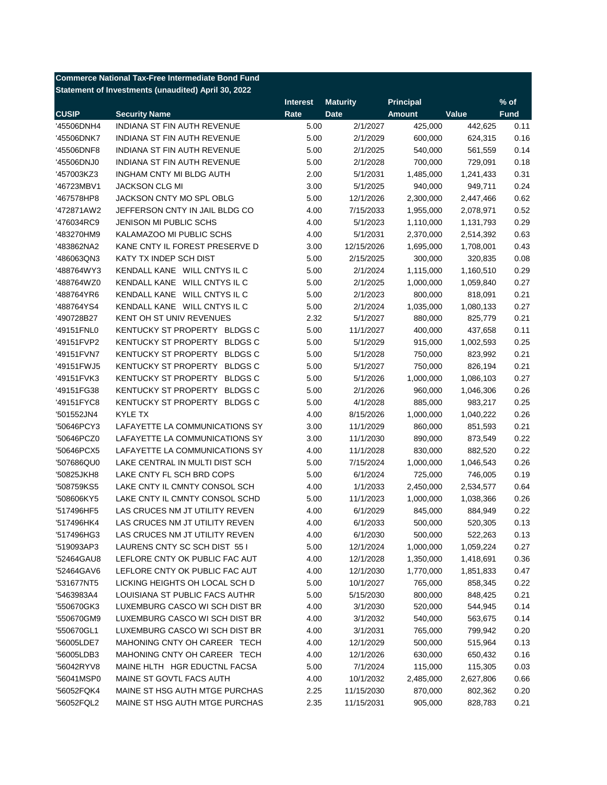| <b>Commerce National Tax-Free Intermediate Bond Fund</b> |                                                     |                 |                 |                  |           |             |  |  |
|----------------------------------------------------------|-----------------------------------------------------|-----------------|-----------------|------------------|-----------|-------------|--|--|
|                                                          | Statement of Investments (unaudited) April 30, 2022 |                 |                 |                  |           |             |  |  |
|                                                          |                                                     | <b>Interest</b> | <b>Maturity</b> | <b>Principal</b> |           | $%$ of      |  |  |
| <b>CUSIP</b>                                             | <b>Security Name</b>                                | Rate            | <b>Date</b>     | <b>Amount</b>    | Value     | <b>Fund</b> |  |  |
| '45506DNH4                                               | INDIANA ST FIN AUTH REVENUE                         | 5.00            | 2/1/2027        | 425,000          | 442,625   | 0.11        |  |  |
| '45506DNK7                                               | INDIANA ST FIN AUTH REVENUE                         | 5.00            | 2/1/2029        | 600,000          | 624,315   | 0.16        |  |  |
| '45506DNF8                                               | INDIANA ST FIN AUTH REVENUE                         | 5.00            | 2/1/2025        | 540,000          | 561,559   | 0.14        |  |  |
| '45506DNJ0                                               | INDIANA ST FIN AUTH REVENUE                         | 5.00            | 2/1/2028        | 700,000          | 729,091   | 0.18        |  |  |
| '457003KZ3                                               | <b>INGHAM CNTY MI BLDG AUTH</b>                     | 2.00            | 5/1/2031        | 1,485,000        | 1,241,433 | 0.31        |  |  |
| '46723MBV1                                               | <b>JACKSON CLG MI</b>                               | 3.00            | 5/1/2025        | 940,000          | 949,711   | 0.24        |  |  |
| '467578HP8                                               | JACKSON CNTY MO SPL OBLG                            | 5.00            | 12/1/2026       | 2,300,000        | 2,447,466 | 0.62        |  |  |
| '472871AW2                                               | JEFFERSON CNTY IN JAIL BLDG CO                      | 4.00            | 7/15/2033       | 1,955,000        | 2,078,971 | 0.52        |  |  |
| '476034RC9                                               | JENISON MI PUBLIC SCHS                              | 4.00            | 5/1/2023        | 1,110,000        | 1,131,793 | 0.29        |  |  |
| '483270HM9                                               | KALAMAZOO MI PUBLIC SCHS                            | 4.00            | 5/1/2031        | 2,370,000        | 2,514,392 | 0.63        |  |  |
| '483862NA2                                               | KANE CNTY IL FOREST PRESERVE D                      | 3.00            | 12/15/2026      | 1,695,000        | 1,708,001 | 0.43        |  |  |
| '486063QN3                                               | KATY TX INDEP SCH DIST                              | 5.00            | 2/15/2025       | 300,000          | 320,835   | 0.08        |  |  |
| '488764WY3                                               | KENDALL KANE WILL CNTYS IL C                        | 5.00            | 2/1/2024        | 1,115,000        | 1,160,510 | 0.29        |  |  |
| '488764WZ0                                               | KENDALL KANE WILL CNTYS IL C                        | 5.00            | 2/1/2025        | 1,000,000        | 1,059,840 | 0.27        |  |  |
| '488764YR6                                               | KENDALL KANE WILL CNTYS IL C                        | 5.00            | 2/1/2023        | 800,000          | 818,091   | 0.21        |  |  |
| '488764YS4                                               | KENDALL KANE WILL CNTYS IL C                        | 5.00            | 2/1/2024        | 1,035,000        | 1,080,133 | 0.27        |  |  |
| '490728B27                                               | <b>KENT OH ST UNIV REVENUES</b>                     | 2.32            | 5/1/2027        | 880,000          | 825,779   | 0.21        |  |  |
| '49151FNL0                                               | KENTUCKY ST PROPERTY BLDGS C                        | 5.00            | 11/1/2027       | 400,000          | 437,658   | 0.11        |  |  |
| '49151FVP2                                               | KENTUCKY ST PROPERTY<br><b>BLDGS C</b>              | 5.00            | 5/1/2029        | 915,000          | 1,002,593 | 0.25        |  |  |
| '49151FVN7                                               | KENTUCKY ST PROPERTY<br><b>BLDGS C</b>              | 5.00            | 5/1/2028        | 750,000          | 823,992   | 0.21        |  |  |
| '49151FWJ5                                               | KENTUCKY ST PROPERTY<br><b>BLDGS C</b>              | 5.00            | 5/1/2027        | 750,000          | 826,194   | 0.21        |  |  |
| '49151FVK3                                               | KENTUCKY ST PROPERTY<br><b>BLDGS C</b>              | 5.00            | 5/1/2026        | 1,000,000        | 1,086,103 | 0.27        |  |  |
| '49151FG38                                               | KENTUCKY ST PROPERTY<br><b>BLDGS C</b>              | 5.00            | 2/1/2026        | 960,000          | 1,046,306 | 0.26        |  |  |
| '49151FYC8                                               | KENTUCKY ST PROPERTY<br><b>BLDGS C</b>              | 5.00            | 4/1/2028        | 885,000          | 983,217   | 0.25        |  |  |
| '501552JN4                                               | <b>KYLE TX</b>                                      | 4.00            | 8/15/2026       | 1,000,000        | 1,040,222 | 0.26        |  |  |
| '50646PCY3                                               | LAFAYETTE LA COMMUNICATIONS SY                      | 3.00            | 11/1/2029       | 860,000          | 851,593   | 0.21        |  |  |
| '50646PCZ0                                               | LAFAYETTE LA COMMUNICATIONS SY                      | 3.00            | 11/1/2030       | 890,000          | 873,549   | 0.22        |  |  |
| '50646PCX5                                               | LAFAYETTE LA COMMUNICATIONS SY                      | 4.00            | 11/1/2028       | 830,000          | 882,520   | 0.22        |  |  |
| '507686QU0                                               | LAKE CENTRAL IN MULTI DIST SCH                      | 5.00            | 7/15/2024       | 1,000,000        | 1,046,543 | 0.26        |  |  |
| '50825JKH8                                               | LAKE CNTY FL SCH BRD COPS                           | 5.00            | 6/1/2024        | 725,000          | 746,005   | 0.19        |  |  |
| '508759KS5                                               | LAKE CNTY IL CMNTY CONSOL SCH                       | 4.00            | 1/1/2033        | 2,450,000        | 2,534,577 | 0.64        |  |  |
| '508606KY5                                               | LAKE CNTY IL CMNTY CONSOL SCHD                      | 5.00            | 11/1/2023       | 1,000,000        | 1,038,366 | 0.26        |  |  |
| '517496HF5                                               | LAS CRUCES NM JT UTILITY REVEN                      | 4.00            | 6/1/2029        | 845,000          | 884,949   | 0.22        |  |  |
| '517496HK4                                               | LAS CRUCES NM JT UTILITY REVEN                      | 4.00            | 6/1/2033        | 500,000          | 520,305   | 0.13        |  |  |
| '517496HG3                                               | LAS CRUCES NM JT UTILITY REVEN                      | 4.00            | 6/1/2030        | 500,000          | 522,263   | 0.13        |  |  |
| '519093AP3                                               | LAURENS CNTY SC SCH DIST 55 I                       | 5.00            | 12/1/2024       | 1,000,000        | 1,059,224 | 0.27        |  |  |
| '52464GAU8                                               | LEFLORE CNTY OK PUBLIC FAC AUT                      | 4.00            | 12/1/2028       | 1,350,000        | 1,418,691 | 0.36        |  |  |
| '52464GAV6                                               | LEFLORE CNTY OK PUBLIC FAC AUT                      | 4.00            | 12/1/2030       | 1,770,000        | 1,851,833 | 0.47        |  |  |
| '531677NT5                                               | LICKING HEIGHTS OH LOCAL SCH D                      | 5.00            | 10/1/2027       | 765,000          | 858,345   | 0.22        |  |  |
| '5463983A4                                               | LOUISIANA ST PUBLIC FACS AUTHR                      | 5.00            | 5/15/2030       | 800,000          | 848,425   | 0.21        |  |  |
| '550670GK3                                               | LUXEMBURG CASCO WI SCH DIST BR                      | 4.00            | 3/1/2030        | 520,000          | 544,945   | 0.14        |  |  |
| '550670GM9                                               | LUXEMBURG CASCO WI SCH DIST BR                      | 4.00            | 3/1/2032        | 540,000          | 563,675   | 0.14        |  |  |
| '550670GL1                                               | LUXEMBURG CASCO WI SCH DIST BR                      | 4.00            | 3/1/2031        | 765,000          | 799,942   | 0.20        |  |  |
|                                                          | MAHONING CNTY OH CAREER TECH                        |                 |                 |                  |           |             |  |  |
| '56005LDE7                                               |                                                     | 4.00            | 12/1/2029       | 500,000          | 515,964   | 0.13        |  |  |
| '56005LDB3                                               | MAHONING CNTY OH CAREER TECH                        | 4.00            | 12/1/2026       | 630,000          | 650,432   | 0.16        |  |  |
| '56042RYV8                                               | MAINE HLTH HGR EDUCTNL FACSA                        | 5.00            | 7/1/2024        | 115,000          | 115,305   | 0.03        |  |  |
| '56041MSP0                                               | MAINE ST GOVTL FACS AUTH                            | 4.00            | 10/1/2032       | 2,485,000        | 2,627,806 | 0.66        |  |  |
| '56052FQK4                                               | MAINE ST HSG AUTH MTGE PURCHAS                      | 2.25            | 11/15/2030      | 870,000          | 802,362   | 0.20        |  |  |
| '56052FQL2                                               | MAINE ST HSG AUTH MTGE PURCHAS                      | 2.35            | 11/15/2031      | 905,000          | 828,783   | 0.21        |  |  |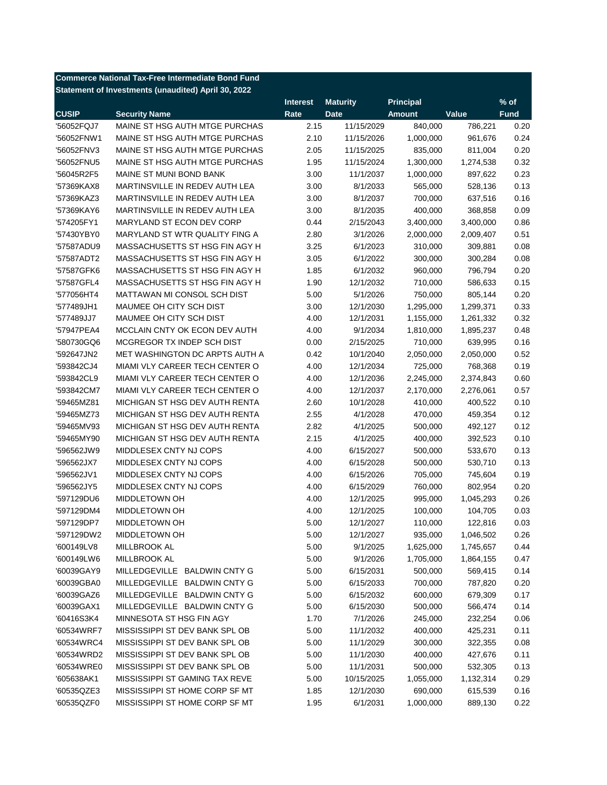|              |                                    | <b>Interest</b> | <b>Maturity</b> | <b>Principal</b> |           | $\frac{9}{6}$ of |
|--------------|------------------------------------|-----------------|-----------------|------------------|-----------|------------------|
| <b>CUSIP</b> | <b>Security Name</b>               | Rate            | <b>Date</b>     | <b>Amount</b>    | Value     | <b>Fund</b>      |
| 56052FQJ7    | MAINE ST HSG AUTH MTGE PURCHAS     | 2.15            | 11/15/2029      | 840,000          | 786,221   | 0.20             |
| '56052FNW1   | MAINE ST HSG AUTH MTGE PURCHAS     | 2.10            | 11/15/2026      | 1,000,000        | 961,676   | 0.24             |
| 56052FNV3    | MAINE ST HSG AUTH MTGE PURCHAS     | 2.05            | 11/15/2025      | 835,000          | 811,004   | 0.20             |
| '56052FNU5   | MAINE ST HSG AUTH MTGE PURCHAS     | 1.95            | 11/15/2024      | 1,300,000        | 1,274,538 | 0.32             |
| 56045R2F5    | MAINE ST MUNI BOND BANK            | 3.00            | 11/1/2037       | 1,000,000        | 897,622   | 0.23             |
| 57369KAX8    | MARTINSVILLE IN REDEV AUTH LEA     | 3.00            | 8/1/2033        | 565,000          | 528,136   | 0.13             |
| 57369KAZ3    | MARTINSVILLE IN REDEV AUTH LEA     | 3.00            | 8/1/2037        | 700,000          | 637,516   | 0.16             |
| 57369KAY6    | MARTINSVILLE IN REDEV AUTH LEA     | 3.00            | 8/1/2035        | 400,000          | 368,858   | 0.09             |
| '574205FY1   | MARYLAND ST ECON DEV CORP          | 0.44            | 2/15/2043       | 3,400,000        | 3,400,000 | 0.86             |
| '57430YBY0   | MARYLAND ST WTR QUALITY FING A     | 2.80            | 3/1/2026        | 2,000,000        | 2,009,407 | 0.51             |
| '57587ADU9   | MASSACHUSETTS ST HSG FIN AGY H     | 3.25            | 6/1/2023        | 310,000          | 309,881   | 0.08             |
| '57587ADT2   | MASSACHUSETTS ST HSG FIN AGY H     | 3.05            | 6/1/2022        | 300,000          | 300,284   | 0.08             |
| '57587GFK6   | MASSACHUSETTS ST HSG FIN AGY H     | 1.85            | 6/1/2032        | 960,000          | 796,794   | 0.20             |
| '57587GFL4   | MASSACHUSETTS ST HSG FIN AGY H     | 1.90            | 12/1/2032       | 710,000          | 586,633   | 0.15             |
| '577056HT4   | <b>MATTAWAN MI CONSOL SCH DIST</b> | 5.00            | 5/1/2026        | 750,000          | 805,144   | 0.20             |
| '577489JH1   | MAUMEE OH CITY SCH DIST            | 3.00            | 12/1/2030       | 1,295,000        | 1,299,371 | 0.33             |
| '577489JJ7   | MAUMEE OH CITY SCH DIST            | 4.00            | 12/1/2031       | 1,155,000        | 1,261,332 | 0.32             |
| '57947PEA4   | MCCLAIN CNTY OK ECON DEV AUTH      | 4.00            | 9/1/2034        | 1,810,000        | 1,895,237 | 0.48             |
| '580730GQ6   | MCGREGOR TX INDEP SCH DIST         | 0.00            | 2/15/2025       | 710,000          | 639,995   | 0.16             |
| '592647JN2   | MET WASHINGTON DC ARPTS AUTH A     | 0.42            | 10/1/2040       | 2,050,000        | 2,050,000 | 0.52             |
| '593842CJ4   | MIAMI VLY CAREER TECH CENTER O     | 4.00            | 12/1/2034       | 725,000          | 768,368   | 0.19             |
| '593842CL9   | MIAMI VLY CAREER TECH CENTER O     | 4.00            | 12/1/2036       | 2,245,000        | 2,374,843 | 0.60             |
| '593842CM7   | MIAMI VLY CAREER TECH CENTER O     | 4.00            | 12/1/2037       | 2,170,000        | 2,276,061 | 0.57             |
| '59465MZ81   | MICHIGAN ST HSG DEV AUTH RENTA     | 2.60            | 10/1/2028       | 410,000          | 400,522   | 0.10             |
| '59465MZ73   | MICHIGAN ST HSG DEV AUTH RENTA     | 2.55            | 4/1/2028        | 470,000          | 459,354   | 0.12             |
| '59465MV93   | MICHIGAN ST HSG DEV AUTH RENTA     | 2.82            | 4/1/2025        | 500,000          | 492,127   | 0.12             |
| '59465MY90   | MICHIGAN ST HSG DEV AUTH RENTA     | 2.15            | 4/1/2025        | 400,000          | 392,523   | 0.10             |
| '596562JW9   | MIDDLESEX CNTY NJ COPS             | 4.00            | 6/15/2027       | 500,000          | 533,670   | 0.13             |
| '596562JX7   | MIDDLESEX CNTY NJ COPS             | 4.00            | 6/15/2028       | 500,000          | 530,710   | 0.13             |
| '596562JV1   | MIDDLESEX CNTY NJ COPS             | 4.00            | 6/15/2026       | 705,000          | 745,604   | 0.19             |
| '596562JY5   | MIDDLESEX CNTY NJ COPS             | 4.00            | 6/15/2029       | 760,000          | 802,954   | 0.20             |
| '597129DU6   | <b>MIDDLETOWN OH</b>               | 4.00            | 12/1/2025       | 995,000          | 1,045,293 | 0.26             |
| 597129DM4    | <b>MIDDLETOWN OH</b>               | 4.00            | 12/1/2025       | 100,000          | 104,705   | 0.03             |
| 597129DP7    | <b>MIDDLETOWN OH</b>               | 5.00            | 12/1/2027       | 110,000          | 122,816   | 0.03             |
| '597129DW2   | <b>MIDDLETOWN OH</b>               | 5.00            | 12/1/2027       | 935,000          | 1,046,502 | 0.26             |
| '600149LV8   | <b>MILLBROOK AL</b>                | 5.00            | 9/1/2025        | 1,625,000        | 1,745,657 | 0.44             |
| '600149LW6   | MILLBROOK AL                       | 5.00            | 9/1/2026        | 1,705,000        | 1,864,155 | 0.47             |
| '60039GAY9   | MILLEDGEVILLE BALDWIN CNTY G       | 5.00            | 6/15/2031       | 500,000          | 569,415   | 0.14             |
| '60039GBA0   | MILLEDGEVILLE BALDWIN CNTY G       | 5.00            | 6/15/2033       | 700,000          | 787,820   | 0.20             |
| '60039GAZ6   | MILLEDGEVILLE BALDWIN CNTY G       | 5.00            | 6/15/2032       | 600,000          | 679,309   | 0.17             |
| '60039GAX1   | MILLEDGEVILLE BALDWIN CNTY G       | 5.00            | 6/15/2030       | 500,000          | 566,474   | 0.14             |
| '60416S3K4   | MINNESOTA ST HSG FIN AGY           | 1.70            | 7/1/2026        | 245,000          | 232,254   | 0.06             |
| '60534WRF7   | MISSISSIPPI ST DEV BANK SPL OB     | 5.00            | 11/1/2032       | 400,000          | 425,231   | 0.11             |
| '60534WRC4   | MISSISSIPPI ST DEV BANK SPL OB     | 5.00            | 11/1/2029       | 300,000          | 322,355   | 0.08             |
| '60534WRD2   | MISSISSIPPI ST DEV BANK SPL OB     | 5.00            | 11/1/2030       | 400,000          | 427,676   | 0.11             |
| '60534WRE0   | MISSISSIPPI ST DEV BANK SPL OB     | 5.00            | 11/1/2031       | 500,000          | 532,305   | 0.13             |
| '605638AK1   | MISSISSIPPI ST GAMING TAX REVE     | 5.00            | 10/15/2025      | 1,055,000        | 1,132,314 | 0.29             |
|              |                                    |                 |                 |                  |           |                  |

'60535QZE3 MISSISSIPPI ST HOME CORP SF MT 1.85 12/1/2030 690,000 615,539 0.16 '60535QZF0 MISSISSIPPI ST HOME CORP SF MT 1.95 6/1/2031 1,000,000 889,130 0.22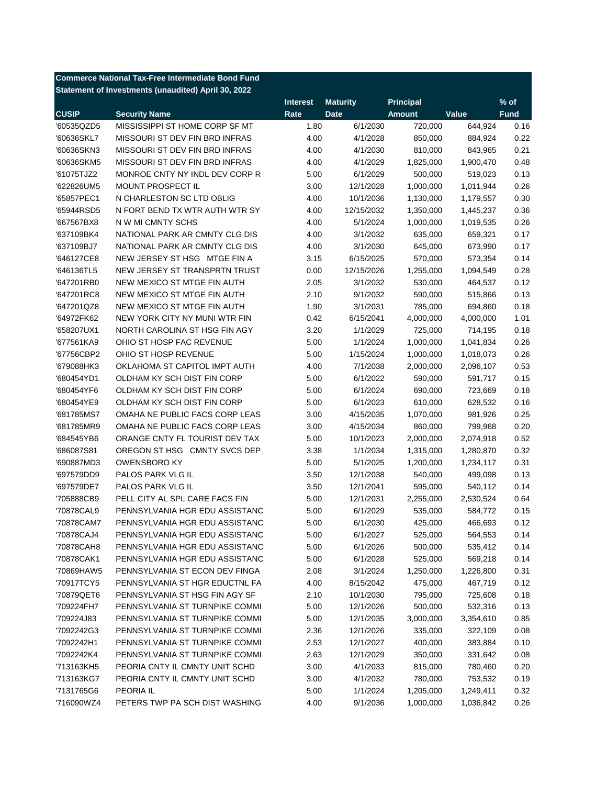| <b>Commerce National Tax-Free Intermediate Bond Fund</b> |                                                     |                 |                       |                  |           |             |  |  |
|----------------------------------------------------------|-----------------------------------------------------|-----------------|-----------------------|------------------|-----------|-------------|--|--|
|                                                          | Statement of Investments (unaudited) April 30, 2022 |                 |                       |                  |           |             |  |  |
|                                                          |                                                     | <b>Interest</b> | <b>Maturity</b>       | <b>Principal</b> |           | $%$ of      |  |  |
| <b>CUSIP</b>                                             | <b>Security Name</b>                                | Rate            | <b>Date</b>           | <b>Amount</b>    | Value     | <b>Fund</b> |  |  |
| '60535QZD5                                               | MISSISSIPPI ST HOME CORP SF MT                      | 1.80            | 6/1/2030              | 720,000          | 644,924   | 0.16        |  |  |
| '60636SKL7                                               | MISSOURI ST DEV FIN BRD INFRAS                      | 4.00            | 4/1/2028              | 850,000          | 884,924   | 0.22        |  |  |
| '60636SKN3                                               | MISSOURI ST DEV FIN BRD INFRAS                      | 4.00            | 4/1/2030              | 810,000          | 843,965   | 0.21        |  |  |
| '60636SKM5                                               | MISSOURI ST DEV FIN BRD INFRAS                      | 4.00            | 4/1/2029              | 1,825,000        | 1,900,470 | 0.48        |  |  |
| '61075TJZ2                                               | MONROE CNTY NY INDL DEV CORP R                      | 5.00            | 6/1/2029              | 500,000          | 519,023   | 0.13        |  |  |
| '622826UM5                                               | MOUNT PROSPECT IL                                   | 3.00            | 12/1/2028             | 1,000,000        | 1,011,944 | 0.26        |  |  |
| '65857PEC1                                               | N CHARLESTON SC LTD OBLIG                           | 4.00            | 10/1/2036             | 1,130,000        | 1,179,557 | 0.30        |  |  |
| '65944RSD5                                               | N FORT BEND TX WTR AUTH WTR SY                      | 4.00            | 12/15/2032            | 1,350,000        | 1,445,237 | 0.36        |  |  |
| '667567BX8                                               | N W MI CMNTY SCHS                                   | 4.00            | 5/1/2024              | 1,000,000        | 1,019,535 | 0.26        |  |  |
| '637109BK4                                               | NATIONAL PARK AR CMNTY CLG DIS                      | 4.00            | 3/1/2032              | 635,000          | 659,321   | 0.17        |  |  |
| '637109BJ7                                               | NATIONAL PARK AR CMNTY CLG DIS                      | 4.00            | 3/1/2030              | 645,000          | 673,990   | 0.17        |  |  |
| '646127CE8                                               | NEW JERSEY ST HSG MTGE FIN A                        | 3.15            | 6/15/2025             | 570,000          | 573,354   | 0.14        |  |  |
| '646136TL5                                               | NEW JERSEY ST TRANSPRTN TRUST                       | 0.00            | 12/15/2026            | 1,255,000        | 1,094,549 | 0.28        |  |  |
| '647201RB0                                               | NEW MEXICO ST MTGE FIN AUTH                         | 2.05            | 3/1/2032              | 530,000          | 464,537   | 0.12        |  |  |
| '647201RC8                                               | NEW MEXICO ST MTGE FIN AUTH                         | 2.10            | 9/1/2032              | 590,000          | 515,866   | 0.13        |  |  |
| '647201QZ8                                               | NEW MEXICO ST MTGE FIN AUTH                         | 1.90            | 3/1/2031              | 785,000          | 694,860   | 0.18        |  |  |
| '64972FK62                                               | NEW YORK CITY NY MUNI WTR FIN                       | 0.42            | 6/15/2041             | 4,000,000        | 4,000,000 | 1.01        |  |  |
| '658207UX1                                               | NORTH CAROLINA ST HSG FIN AGY                       | 3.20            | 1/1/2029              | 725,000          | 714,195   | 0.18        |  |  |
| '677561KA9                                               | OHIO ST HOSP FAC REVENUE                            | 5.00            | 1/1/2024              | 1,000,000        | 1,041,834 | 0.26        |  |  |
| '67756CBP2                                               | OHIO ST HOSP REVENUE                                | 5.00            | 1/15/2024             | 1,000,000        | 1,018,073 | 0.26        |  |  |
| '679088HK3                                               | OKLAHOMA ST CAPITOL IMPT AUTH                       | 4.00            | 7/1/2038              | 2,000,000        | 2,096,107 | 0.53        |  |  |
| '680454YD1                                               | OLDHAM KY SCH DIST FIN CORP                         | 5.00            | 6/1/2022              | 590,000          | 591,717   | 0.15        |  |  |
| '680454YF6                                               | OLDHAM KY SCH DIST FIN CORP                         | 5.00            | 6/1/2024              | 690,000          | 723,669   | 0.18        |  |  |
| '680454YE9                                               | OLDHAM KY SCH DIST FIN CORP                         | 5.00            | 6/1/2023              | 610,000          | 628,532   | 0.16        |  |  |
| '681785MS7                                               | OMAHA NE PUBLIC FACS CORP LEAS                      | 3.00            | 4/15/2035             | 1,070,000        | 981,926   | 0.25        |  |  |
| '681785MR9                                               | OMAHA NE PUBLIC FACS CORP LEAS                      | 3.00            | 4/15/2034             | 860,000          | 799,968   | 0.20        |  |  |
| '684545YB6                                               | ORANGE CNTY FL TOURIST DEV TAX                      | 5.00            | 10/1/2023             | 2,000,000        | 2,074,918 | 0.52        |  |  |
| '686087S81                                               | OREGON ST HSG CMNTY SVCS DEP                        | 3.38            | 1/1/2034              | 1,315,000        | 1,280,870 | 0.32        |  |  |
| '690887MD3                                               | <b>OWENSBORO KY</b>                                 | 5.00            | 5/1/2025              | 1,200,000        | 1,234,117 | 0.31        |  |  |
| '697579DD9                                               | PALOS PARK VLG IL                                   | 3.50            | 12/1/2038             | 540,000          | 499,098   | 0.13        |  |  |
| '697579DE7                                               | PALOS PARK VLG IL                                   | 3.50            | 12/1/2041             | 595,000          | 540,112   | 0.14        |  |  |
| '705888CB9                                               | PELL CITY AL SPL CARE FACS FIN                      | 5.00            | 12/1/2031             | 2,255,000        | 2,530,524 | 0.64        |  |  |
| '70878CAL9                                               | PENNSYLVANIA HGR EDU ASSISTANC                      | 5.00            | 6/1/2029              | 535,000          | 584,772   | 0.15        |  |  |
| '70878CAM7                                               | PENNSYLVANIA HGR EDU ASSISTANC                      | 5.00            | 6/1/2030              | 425,000          | 466,693   | 0.12        |  |  |
| '70878CAJ4                                               | PENNSYLVANIA HGR EDU ASSISTANC                      | 5.00            | 6/1/2027              | 525,000          | 564,553   | 0.14        |  |  |
| '70878CAH8                                               | PENNSYLVANIA HGR EDU ASSISTANC                      | 5.00            | 6/1/2026              | 500,000          | 535,412   | 0.14        |  |  |
| '70878CAK1                                               | PENNSYLVANIA HGR EDU ASSISTANC                      | 5.00            | 6/1/2028              | 525,000          | 569,218   | 0.14        |  |  |
| '70869HAW5                                               | PENNSYLVANIA ST ECON DEV FINGA                      | 2.08            | 3/1/2024              | 1,250,000        | 1,226,800 | 0.31        |  |  |
| '70917TCY5                                               | PENNSYLVANIA ST HGR EDUCTNL FA                      | 4.00            | 8/15/2042             | 475,000          | 467,719   | 0.12        |  |  |
| '70879QET6                                               | PENNSYLVANIA ST HSG FIN AGY SF                      | 2.10            | 10/1/2030             | 795,000          | 725,608   | 0.18        |  |  |
| '709224FH7                                               | PENNSYLVANIA ST TURNPIKE COMMI                      | 5.00            | 12/1/2026             | 500,000          | 532,316   | 0.13        |  |  |
| '709224J83                                               | PENNSYLVANIA ST TURNPIKE COMMI                      | 5.00            | 12/1/2035             | 3,000,000        | 3,354,610 | 0.85        |  |  |
| '7092242G3                                               | PENNSYLVANIA ST TURNPIKE COMMI                      | 2.36            | 12/1/2026             | 335,000          | 322,109   | 0.08        |  |  |
| '7092242H1                                               | PENNSYLVANIA ST TURNPIKE COMMI                      |                 |                       | 400,000          |           |             |  |  |
| '7092242K4                                               | PENNSYLVANIA ST TURNPIKE COMMI                      | 2.53            | 12/1/2027             | 350,000          | 383,884   | 0.10        |  |  |
|                                                          | PEORIA CNTY IL CMNTY UNIT SCHD                      | 2.63            | 12/1/2029<br>4/1/2033 | 815,000          | 331,642   | 0.08        |  |  |
| '713163KH5                                               |                                                     | 3.00            |                       |                  | 780,460   | 0.20        |  |  |
| '713163KG7                                               | PEORIA CNTY IL CMNTY UNIT SCHD                      | 3.00            | 4/1/2032              | 780,000          | 753,532   | 0.19        |  |  |
| '7131765G6                                               | PEORIA IL                                           | 5.00            | 1/1/2024              | 1,205,000        | 1,249,411 | 0.32        |  |  |
| '716090WZ4                                               | PETERS TWP PA SCH DIST WASHING                      | 4.00            | 9/1/2036              | 1,000,000        | 1,036,842 | 0.26        |  |  |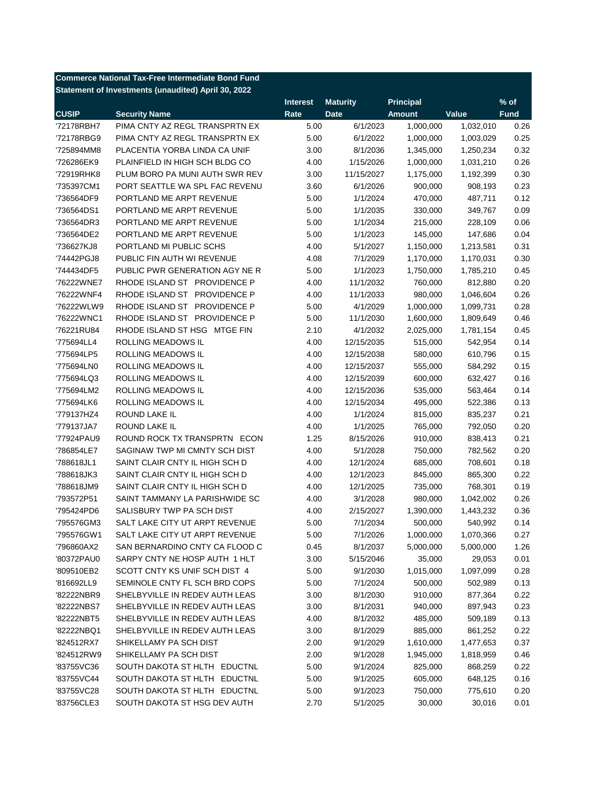| <b>Commerce National Tax-Free Intermediate Bond Fund</b> |                                                                  |                 |                 |                  |           |             |  |
|----------------------------------------------------------|------------------------------------------------------------------|-----------------|-----------------|------------------|-----------|-------------|--|
|                                                          | Statement of Investments (unaudited) April 30, 2022              |                 |                 |                  |           |             |  |
|                                                          |                                                                  | <b>Interest</b> | <b>Maturity</b> | <b>Principal</b> |           | $%$ of      |  |
| <b>CUSIP</b>                                             | <b>Security Name</b>                                             | Rate            | <b>Date</b>     | <b>Amount</b>    | Value     | <b>Fund</b> |  |
| '72178RBH7                                               | PIMA CNTY AZ REGL TRANSPRTN EX                                   | 5.00            | 6/1/2023        | 1,000,000        | 1,032,010 | 0.26        |  |
| '72178RBG9                                               | PIMA CNTY AZ REGL TRANSPRTN EX                                   | 5.00            | 6/1/2022        | 1,000,000        | 1,003,029 | 0.25        |  |
| '725894MM8                                               | PLACENTIA YORBA LINDA CA UNIF                                    | 3.00            | 8/1/2036        | 1,345,000        | 1,250,234 | 0.32        |  |
| '726286EK9                                               | PLAINFIELD IN HIGH SCH BLDG CO                                   | 4.00            | 1/15/2026       | 1,000,000        | 1,031,210 | 0.26        |  |
| '72919RHK8                                               | PLUM BORO PA MUNI AUTH SWR REV                                   | 3.00            | 11/15/2027      | 1,175,000        | 1,192,399 | 0.30        |  |
| '735397CM1                                               | PORT SEATTLE WA SPL FAC REVENU                                   | 3.60            | 6/1/2026        | 900,000          | 908,193   | 0.23        |  |
| '736564DF9                                               | PORTLAND ME ARPT REVENUE                                         | 5.00            | 1/1/2024        | 470,000          | 487,711   | 0.12        |  |
| '736564DS1                                               | PORTLAND ME ARPT REVENUE                                         | 5.00            | 1/1/2035        | 330,000          | 349,767   | 0.09        |  |
| '736564DR3                                               | PORTLAND ME ARPT REVENUE                                         | 5.00            | 1/1/2034        | 215,000          | 228,109   | 0.06        |  |
| '736564DE2                                               | PORTLAND ME ARPT REVENUE                                         | 5.00            | 1/1/2023        | 145,000          | 147,686   | 0.04        |  |
| '736627KJ8                                               | PORTLAND MI PUBLIC SCHS                                          | 4.00            | 5/1/2027        | 1,150,000        | 1,213,581 | 0.31        |  |
| '74442PGJ8                                               | PUBLIC FIN AUTH WI REVENUE                                       | 4.08            | 7/1/2029        | 1,170,000        | 1,170,031 | 0.30        |  |
| '744434DF5                                               | PUBLIC PWR GENERATION AGY NE R                                   | 5.00            | 1/1/2023        | 1,750,000        | 1,785,210 | 0.45        |  |
| '76222WNE7                                               | RHODE ISLAND ST PROVIDENCE P                                     | 4.00            | 11/1/2032       | 760,000          | 812,880   | 0.20        |  |
| '76222WNF4                                               | RHODE ISLAND ST PROVIDENCE P                                     | 4.00            | 11/1/2033       | 980,000          | 1,046,604 | 0.26        |  |
| '76222WLW9                                               | RHODE ISLAND ST PROVIDENCE P                                     | 5.00            | 4/1/2029        | 1,000,000        | 1,099,731 | 0.28        |  |
| '76222WNC1                                               | RHODE ISLAND ST PROVIDENCE P                                     | 5.00            | 11/1/2030       | 1,600,000        | 1,809,649 | 0.46        |  |
| '76221RU84                                               | RHODE ISLAND ST HSG MTGE FIN                                     | 2.10            | 4/1/2032        | 2,025,000        | 1,781,154 | 0.45        |  |
| '775694LL4                                               | ROLLING MEADOWS IL                                               | 4.00            | 12/15/2035      | 515,000          | 542,954   | 0.14        |  |
| '775694LP5                                               | ROLLING MEADOWS IL                                               | 4.00            | 12/15/2038      | 580,000          | 610,796   | 0.15        |  |
| '775694LN0                                               | ROLLING MEADOWS IL                                               | 4.00            | 12/15/2037      | 555,000          | 584,292   | 0.15        |  |
| '775694LQ3                                               | ROLLING MEADOWS IL                                               | 4.00            | 12/15/2039      | 600,000          | 632,427   | 0.16        |  |
| '775694LM2                                               | ROLLING MEADOWS IL                                               | 4.00            | 12/15/2036      | 535,000          | 563,464   | 0.14        |  |
| '775694LK6                                               | ROLLING MEADOWS IL                                               | 4.00            | 12/15/2034      | 495,000          | 522,386   | 0.13        |  |
| '779137HZ4                                               | ROUND LAKE IL                                                    | 4.00            | 1/1/2024        | 815,000          | 835,237   | 0.21        |  |
| '779137JA7                                               | ROUND LAKE IL                                                    | 4.00            | 1/1/2025        | 765,000          | 792,050   | 0.20        |  |
| '77924PAU9                                               | ROUND ROCK TX TRANSPRTN ECON                                     | 1.25            | 8/15/2026       | 910,000          | 838,413   | 0.21        |  |
| '786854LE7                                               | SAGINAW TWP MI CMNTY SCH DIST                                    | 4.00            | 5/1/2028        | 750,000          | 782,562   | 0.20        |  |
| '788618JL1                                               | SAINT CLAIR CNTY IL HIGH SCH D                                   | 4.00            | 12/1/2024       | 685,000          | 708,601   | 0.18        |  |
|                                                          | SAINT CLAIR CNTY IL HIGH SCH D                                   |                 |                 |                  |           |             |  |
| '788618JK3                                               |                                                                  | 4.00            | 12/1/2023       | 845,000          | 865,300   | 0.22        |  |
| '788618JM9                                               | SAINT CLAIR CNTY IL HIGH SCH D<br>SAINT TAMMANY LA PARISHWIDE SC | 4.00            | 12/1/2025       | 735,000          | 768,301   | 0.19        |  |
| '793572P51                                               |                                                                  | 4.00            | 3/1/2028        | 980,000          | 1,042,002 | 0.26        |  |
| '795424PD6                                               | SALISBURY TWP PA SCH DIST                                        | 4.00            | 2/15/2027       | 1,390,000        | 1,443,232 | 0.36        |  |
| '795576GM3                                               | SALT LAKE CITY UT ARPT REVENUE                                   | 5.00            | 7/1/2034        | 500,000          | 540,992   | 0.14        |  |
| '795576GW1                                               | SALT LAKE CITY UT ARPT REVENUE                                   | 5.00            | 7/1/2026        | 1,000,000        | 1,070,366 | 0.27        |  |
| '796860AX2                                               | SAN BERNARDINO CNTY CA FLOOD C                                   | 0.45            | 8/1/2037        | 5,000,000        | 5,000,000 | 1.26        |  |
| '80372PAU0                                               | SARPY CNTY NE HOSP AUTH 1 HLT                                    | 3.00            | 5/15/2046       | 35,000           | 29,053    | 0.01        |  |
| '809510EB2                                               | SCOTT CNTY KS UNIF SCH DIST 4                                    | 5.00            | 9/1/2030        | 1,015,000        | 1,097,099 | 0.28        |  |
| '816692LL9                                               | SEMINOLE CNTY FL SCH BRD COPS                                    | 5.00            | 7/1/2024        | 500,000          | 502,989   | 0.13        |  |
| '82222NBR9                                               | SHELBYVILLE IN REDEV AUTH LEAS                                   | 3.00            | 8/1/2030        | 910,000          | 877,364   | 0.22        |  |
| '82222NBS7                                               | SHELBYVILLE IN REDEV AUTH LEAS                                   | 3.00            | 8/1/2031        | 940,000          | 897,943   | 0.23        |  |
| '82222NBT5                                               | SHELBYVILLE IN REDEV AUTH LEAS                                   | 4.00            | 8/1/2032        | 485,000          | 509,189   | 0.13        |  |
| '82222NBQ1                                               | SHELBYVILLE IN REDEV AUTH LEAS                                   | 3.00            | 8/1/2029        | 885,000          | 861,252   | 0.22        |  |
| '824512RX7                                               | SHIKELLAMY PA SCH DIST                                           | 2.00            | 9/1/2029        | 1,610,000        | 1,477,653 | 0.37        |  |
| '824512RW9                                               | SHIKELLAMY PA SCH DIST                                           | 2.00            | 9/1/2028        | 1,945,000        | 1,818,959 | 0.46        |  |
| '83755VC36                                               | SOUTH DAKOTA ST HLTH EDUCTNL                                     | 5.00            | 9/1/2024        | 825,000          | 868,259   | 0.22        |  |
| '83755VC44                                               | SOUTH DAKOTA ST HLTH EDUCTNL                                     | 5.00            | 9/1/2025        | 605,000          | 648,125   | 0.16        |  |
| '83755VC28                                               | SOUTH DAKOTA ST HLTH EDUCTNL                                     | 5.00            | 9/1/2023        | 750,000          | 775,610   | 0.20        |  |
| '83756CLE3                                               | SOUTH DAKOTA ST HSG DEV AUTH                                     | 2.70            | 5/1/2025        | 30,000           | 30,016    | 0.01        |  |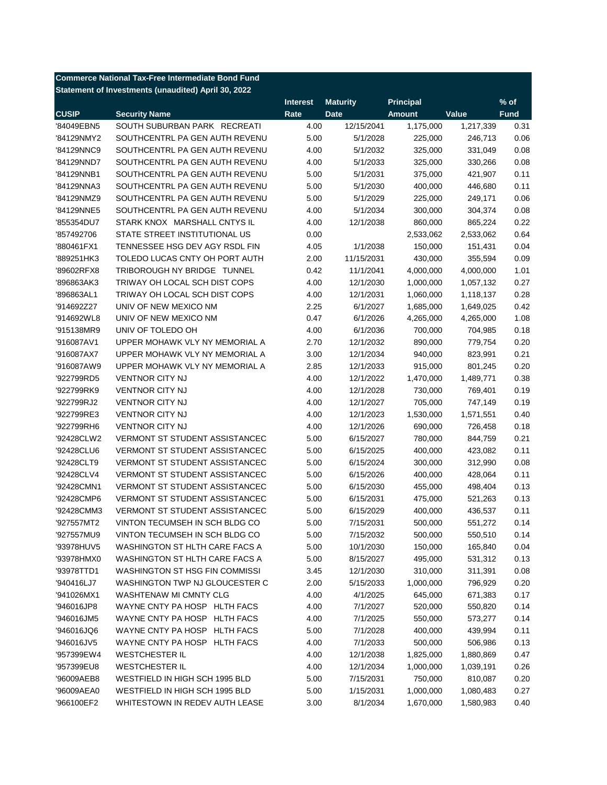| <b>Commerce National Tax-Free Intermediate Bond Fund</b> |                                                     |                 |                 |                  |                    |             |  |
|----------------------------------------------------------|-----------------------------------------------------|-----------------|-----------------|------------------|--------------------|-------------|--|
|                                                          | Statement of Investments (unaudited) April 30, 2022 |                 |                 |                  |                    |             |  |
|                                                          |                                                     | <b>Interest</b> | <b>Maturity</b> | <b>Principal</b> |                    | $%$ of      |  |
| <b>CUSIP</b>                                             | <b>Security Name</b>                                | Rate            | <b>Date</b>     | <b>Amount</b>    | Value              | <b>Fund</b> |  |
| '84049EBN5                                               | SOUTH SUBURBAN PARK RECREATI                        | 4.00            | 12/15/2041      | 1,175,000        | 1,217,339          | 0.31        |  |
| '84129NMY2                                               | SOUTHCENTRL PA GEN AUTH REVENU                      | 5.00            | 5/1/2028        | 225,000          | 246,713            | 0.06        |  |
| '84129NNC9                                               | SOUTHCENTRL PA GEN AUTH REVENU                      | 4.00            | 5/1/2032        | 325,000          | 331,049            | 0.08        |  |
| '84129NND7                                               | SOUTHCENTRL PA GEN AUTH REVENU                      | 4.00            | 5/1/2033        | 325,000          | 330,266            | 0.08        |  |
| '84129NNB1                                               | SOUTHCENTRL PA GEN AUTH REVENU                      | 5.00            | 5/1/2031        | 375,000          | 421,907            | 0.11        |  |
| '84129NNA3                                               | SOUTHCENTRL PA GEN AUTH REVENU                      | 5.00            | 5/1/2030        | 400,000          | 446,680            | 0.11        |  |
| '84129NMZ9                                               | SOUTHCENTRL PA GEN AUTH REVENU                      | 5.00            | 5/1/2029        | 225,000          | 249,171            | 0.06        |  |
| '84129NNE5                                               | SOUTHCENTRL PA GEN AUTH REVENU                      | 4.00            | 5/1/2034        | 300,000          | 304,374            | 0.08        |  |
| '855354DU7                                               | STARK KNOX MARSHALL CNTYS IL                        | 4.00            | 12/1/2038       | 860,000          | 865,224            | 0.22        |  |
| '857492706                                               | STATE STREET INSTITUTIONAL US                       | 0.00            |                 | 2,533,062        | 2,533,062          | 0.64        |  |
| '880461FX1                                               | TENNESSEE HSG DEV AGY RSDL FIN                      | 4.05            | 1/1/2038        | 150,000          | 151,431            | 0.04        |  |
| '889251HK3                                               | TOLEDO LUCAS CNTY OH PORT AUTH                      | 2.00            | 11/15/2031      | 430,000          | 355,594            | 0.09        |  |
| '89602RFX8                                               | TRIBOROUGH NY BRIDGE TUNNEL                         | 0.42            | 11/1/2041       | 4,000,000        | 4,000,000          | 1.01        |  |
| '896863AK3                                               | TRIWAY OH LOCAL SCH DIST COPS                       | 4.00            | 12/1/2030       | 1,000,000        | 1,057,132          | 0.27        |  |
| '896863AL1                                               | TRIWAY OH LOCAL SCH DIST COPS                       | 4.00            | 12/1/2031       | 1,060,000        | 1,118,137          | 0.28        |  |
| '914692Z27                                               | UNIV OF NEW MEXICO NM                               | 2.25            | 6/1/2027        | 1,685,000        | 1,649,025          | 0.42        |  |
| '914692WL8                                               | UNIV OF NEW MEXICO NM                               | 0.47            | 6/1/2026        | 4,265,000        | 4,265,000          | 1.08        |  |
| '915138MR9                                               | UNIV OF TOLEDO OH                                   | 4.00            | 6/1/2036        | 700,000          | 704,985            | 0.18        |  |
| '916087AV1                                               | UPPER MOHAWK VLY NY MEMORIAL A                      | 2.70            | 12/1/2032       | 890,000          | 779,754            | 0.20        |  |
| '916087AX7                                               | UPPER MOHAWK VLY NY MEMORIAL A                      | 3.00            | 12/1/2034       | 940,000          | 823,991            | 0.21        |  |
| '916087AW9                                               | UPPER MOHAWK VLY NY MEMORIAL A                      | 2.85            | 12/1/2033       | 915,000          | 801,245            | 0.20        |  |
| '922799RD5                                               | <b>VENTNOR CITY NJ</b>                              | 4.00            | 12/1/2022       | 1,470,000        | 1,489,771          | 0.38        |  |
| '922799RK9                                               | <b>VENTNOR CITY NJ</b>                              | 4.00            | 12/1/2028       | 730,000          | 769,401            | 0.19        |  |
| '922799RJ2                                               | <b>VENTNOR CITY NJ</b>                              | 4.00            | 12/1/2027       | 705,000          | 747,149            | 0.19        |  |
| '922799RE3                                               | <b>VENTNOR CITY NJ</b>                              | 4.00            | 12/1/2023       | 1,530,000        | 1,571,551          | 0.40        |  |
| '922799RH6                                               | <b>VENTNOR CITY NJ</b>                              | 4.00            | 12/1/2026       | 690,000          | 726,458            | 0.18        |  |
| '92428CLW2                                               | <b>VERMONT ST STUDENT ASSISTANCEC</b>               | 5.00            | 6/15/2027       | 780,000          | 844,759            | 0.21        |  |
| '92428CLU6                                               | <b>VERMONT ST STUDENT ASSISTANCEC</b>               | 5.00            | 6/15/2025       | 400,000          | 423,082            | 0.11        |  |
| '92428CLT9                                               | <b>VERMONT ST STUDENT ASSISTANCEC</b>               | 5.00            | 6/15/2024       | 300,000          | 312,990            | 0.08        |  |
| '92428CLV4                                               | <b>VERMONT ST STUDENT ASSISTANCEC</b>               | 5.00            | 6/15/2026       | 400,000          | 428,064            | 0.11        |  |
| '92428CMN1                                               | <b>VERMONT ST STUDENT ASSISTANCEC</b>               | 5.00            | 6/15/2030       | 455,000          | 498,404            | 0.13        |  |
| '92428CMP6                                               | <b>VERMONT ST STUDENT ASSISTANCEC</b>               | 5.00            | 6/15/2031       | 475,000          | 521,263            | 0.13        |  |
| '92428CMM3                                               | <b>VERMONT ST STUDENT ASSISTANCEC</b>               | 5.00            | 6/15/2029       | 400,000          | 436,537            | 0.11        |  |
|                                                          | VINTON TECUMSEH IN SCH BLDG CO                      | 5.00            | 7/15/2031       | 500,000          |                    | 0.14        |  |
| '927557MT2<br>'927557MU9                                 | VINTON TECUMSEH IN SCH BLDG CO                      |                 | 7/15/2032       | 500,000          | 551,272<br>550,510 | 0.14        |  |
| '93978HUV5                                               | WASHINGTON ST HLTH CARE FACS A                      | 5.00            | 10/1/2030       | 150,000          |                    | 0.04        |  |
| '93978HMX0                                               | WASHINGTON ST HLTH CARE FACS A                      | 5.00            | 8/15/2027       | 495,000          | 165,840<br>531,312 |             |  |
|                                                          |                                                     | 5.00            |                 |                  |                    | 0.13        |  |
| '93978TTD1                                               | WASHINGTON ST HSG FIN COMMISSI                      | 3.45            | 12/1/2030       | 310,000          | 311,391            | 0.08        |  |
| '940416LJ7                                               | WASHINGTON TWP NJ GLOUCESTER C                      | 2.00            | 5/15/2033       | 1,000,000        | 796,929            | 0.20        |  |
| '941026MX1                                               | WASHTENAW MI CMNTY CLG                              | 4.00            | 4/1/2025        | 645,000          | 671,383            | 0.17        |  |
| '946016JP8                                               | WAYNE CNTY PA HOSP HLTH FACS                        | 4.00            | 7/1/2027        | 520,000          | 550,820            | 0.14        |  |
| '946016JM5                                               | WAYNE CNTY PA HOSP HLTH FACS                        | 4.00            | 7/1/2025        | 550,000          | 573,277            | 0.14        |  |
| '946016JQ6                                               | WAYNE CNTY PA HOSP HLTH FACS                        | 5.00            | 7/1/2028        | 400,000          | 439,994            | 0.11        |  |
| '946016JV5                                               | WAYNE CNTY PA HOSP HLTH FACS                        | 4.00            | 7/1/2033        | 500,000          | 506,986            | 0.13        |  |
| '957399EW4                                               | <b>WESTCHESTER IL</b>                               | 4.00            | 12/1/2038       | 1,825,000        | 1,880,869          | 0.47        |  |
| '957399EU8                                               | <b>WESTCHESTER IL</b>                               | 4.00            | 12/1/2034       | 1,000,000        | 1,039,191          | 0.26        |  |
| '96009AEB8                                               | WESTFIELD IN HIGH SCH 1995 BLD                      | 5.00            | 7/15/2031       | 750,000          | 810,087            | 0.20        |  |
| '96009AEA0                                               | WESTFIELD IN HIGH SCH 1995 BLD                      | 5.00            | 1/15/2031       | 1,000,000        | 1,080,483          | 0.27        |  |
| '966100EF2                                               | WHITESTOWN IN REDEV AUTH LEASE                      | 3.00            | 8/1/2034        | 1,670,000        | 1,580,983          | 0.40        |  |